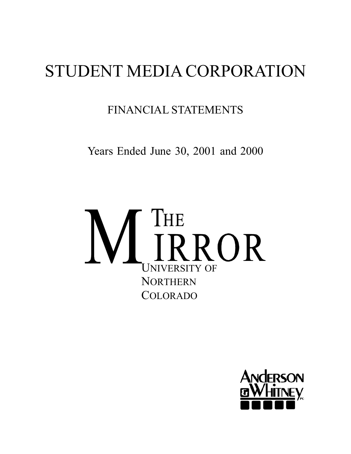# STUDENT MEDIA CORPORATION

FINANCIAL STATEMENTS

Years Ended June 30, 2001 and 2000



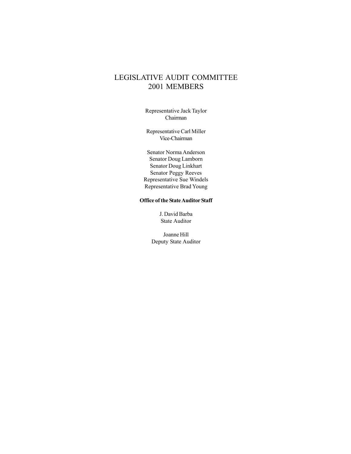# LEGISLATIVE AUDIT COMMITTEE 2001 MEMBERS

Representative Jack Taylor Chairman

Representative Carl Miller Vice-Chairman

Senator Norma Anderson Senator Doug Lamborn Senator Doug Linkhart Senator Peggy Reeves Representative Sue Windels Representative Brad Young

#### **Office of the State Auditor Staff**

J. David Barba State Auditor

Joanne Hill Deputy State Auditor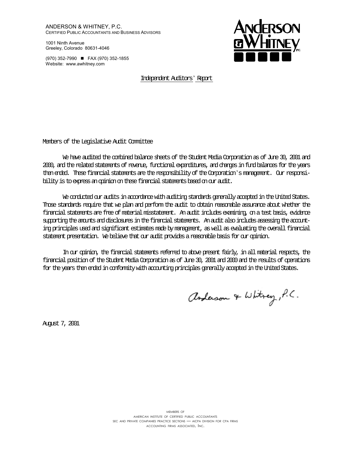ANDERSON & WHITNEY, P.C. CERTIFIED PUBLIC ACCOUNTANTS AND BUSINESS ADVISORS

1001 Ninth Avenue Greeley, Colorado 80631-4046

(970) 352-7990 FAX (970) 352-1855 Website: www.awhitney.com



Independent Auditors' Report

Members of the Legislative Audit Committee

We have audited the combined balance sheets of the Student Media Corporation as of June 30, 2001 and 2000, and the related statements of revenue, functional expenditures, and changes in fund balances for the years then ended. These financial statements are the responsibility of the Corporation's management. Our responsibility is to express an opinion on these financial statements based on our audit.

We conducted our audits in accordance with auditing standards generally accepted in the United States. Those standards require that we plan and perform the audit to obtain reasonable assurance about whether the financial statements are free of material misstatement. An audit includes examining, on a test basis, evidence supporting the amounts and disclosures in the financial statements. An audit also includes assessing the accounting principles used and significant estimates made by management, as well as evaluating the overall financial statement presentation. We believe that our audit provides a reasonable basis for our opinion.

In our opinion, the financial statements referred to above present fairly, in all material respects, the financial position of the Student Media Corporation as of June 30, 2001 and 2000 and the results of operations for the years then ended in conformity with accounting principles generally accepted in the United States.

anderson & Whitney, P.C.

August 7, 2001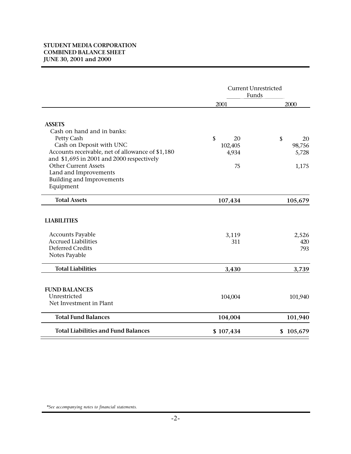## **STUDENT MEDIA CORPORATION COMBINED BALANCE SHEET JUNE 30, 2001 and 2000**

|                                                  | <b>Current Unrestricted</b><br>Funds |           |
|--------------------------------------------------|--------------------------------------|-----------|
|                                                  | 2001                                 | 2000      |
| <b>ASSETS</b>                                    |                                      |           |
| Cash on hand and in banks:                       |                                      |           |
| Petty Cash                                       | \$<br>20                             | \$<br>20  |
| Cash on Deposit with UNC                         | 102,405                              | 98,756    |
| Accounts receivable, net of allowance of \$1,180 | 4,934                                | 5,728     |
| and \$1,695 in 2001 and 2000 respectively        |                                      |           |
| <b>Other Current Assets</b>                      | 75                                   | 1,175     |
| Land and Improvements                            |                                      |           |
| <b>Building and Improvements</b>                 |                                      |           |
| Equipment                                        |                                      |           |
| <b>Total Assets</b>                              | 107,434                              | 105,679   |
| <b>LIABILITIES</b><br><b>Accounts Payable</b>    | 3,119                                | 2,526     |
| <b>Accrued Liabilities</b>                       | 311                                  | 420       |
| <b>Deferred Credits</b>                          |                                      | 793       |
| Notes Payable                                    |                                      |           |
| <b>Total Liabilities</b>                         | 3,430                                | 3,739     |
| <b>FUND BALANCES</b>                             |                                      |           |
| Unrestricted                                     | 104,004                              | 101,940   |
| Net Investment in Plant                          |                                      |           |
| <b>Total Fund Balances</b>                       | 104,004                              | 101,940   |
| <b>Total Liabilities and Fund Balances</b>       | \$107,434                            | \$105,679 |

*\*See accompanying notes to financial statements.*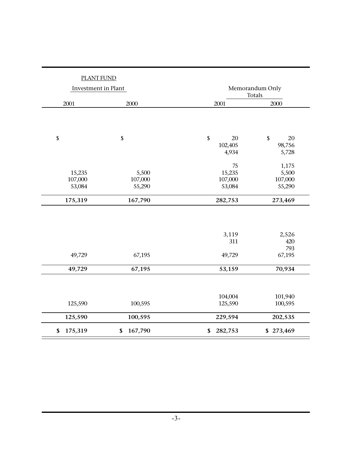| <b>PLANT FUND</b>   |               |                           |                 |
|---------------------|---------------|---------------------------|-----------------|
| Investment in Plant |               | Memorandum Only<br>Totals |                 |
| 2001                | 2000          | 2001                      | 2000            |
|                     |               |                           |                 |
| \$                  | \$            | \$<br>20                  | \$<br>20        |
|                     |               | 102,405<br>4,934          | 98,756<br>5,728 |
|                     |               | 75                        | 1,175           |
| 15,235              | 5,500         | 15,235                    | 5,500           |
| 107,000             | 107,000       | 107,000                   | 107,000         |
| 53,084              | 55,290        | 53,084                    | 55,290          |
| 175,319             | 167,790       | 282,753                   | 273,469         |
|                     |               |                           |                 |
|                     |               | 3,119                     | 2,526           |
|                     |               | 311                       | 420             |
|                     |               |                           | 793             |
| 49,729              | 67,195        | 49,729                    | 67,195          |
| 49,729              | 67,195        | 53,159                    | 70,934          |
|                     |               |                           |                 |
|                     |               | 104,004                   | 101,940         |
| 125,590             | 100,595       | 125,590                   | 100,595         |
| 125,590             | 100,595       | 229,594                   | 202,535         |
| 175,319<br>\$       | \$<br>167,790 | 282,753<br>\$             | \$273,469       |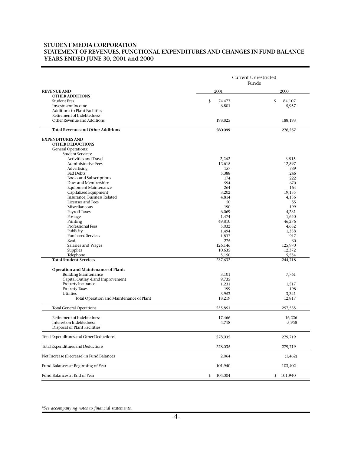#### **STUDENT MEDIA CORPORATION STATEMENT OF REVENUES, FUNCTIONAL EXPENDITURES AND CHANGES IN FUND BALANCE YEARS ENDED JUNE 30, 2001 and 2000**

|                                                | <b>Current Unrestricted</b><br>Funds |                       |
|------------------------------------------------|--------------------------------------|-----------------------|
| <b>REVENUE AND</b>                             | 2001                                 | 2000                  |
| <b>OTHER ADDITIONS</b>                         |                                      |                       |
| <b>Student Fees</b><br>Investment Income       | \$<br>74,473<br>6,801                | \$<br>84,107<br>5,957 |
| <b>Additions to Plant Facilities</b>           |                                      |                       |
| Retirement of Indebtedness                     |                                      |                       |
| Other Revenue and Additions                    | 198,825                              | 188,193               |
| <b>Total Revenue and Other Additions</b>       | 280,099                              | 278,257               |
| <b>EXPENDITURES AND</b>                        |                                      |                       |
| <b>OTHER DEDUCTIONS</b>                        |                                      |                       |
| General Operations:                            |                                      |                       |
| <b>Student Services:</b>                       |                                      |                       |
| Activities and Travel                          | 2,262                                | 3,515                 |
| <b>Administrative Fees</b><br>Advertising      | 12,615<br>157                        | 12,597<br>739         |
| <b>Bad Debts</b>                               | 5,388                                | 246                   |
| <b>Books and Subscriptions</b>                 | 174                                  | 222                   |
| Dues and Memberships                           | 594                                  | 670                   |
| <b>Equipment Maintenance</b>                   | 264                                  | 164                   |
| Capitalized Equipment                          | 3,202                                | 19,155                |
| Insurance, Business Related                    | 4,814                                | 4,156                 |
| Licenses and Fees                              | 50                                   | 55                    |
| Miscellaneous                                  | 190                                  | 199                   |
| <b>Payroll Taxes</b>                           | 6,069                                | 4,231                 |
| Postage                                        | 1,474                                | 1,640                 |
| Printing                                       | 49,810                               | 46,276                |
| Professional Fees                              | 5,032                                | 4,652                 |
| Publicity                                      | 1,494                                | 1,358                 |
| <b>Purchased Services</b><br>Rent              | 1,837<br>275                         | 917<br>30             |
| Salaries and Wages                             | 126,146                              | 125,970               |
| Supplies                                       | 10,635                               | 12,372                |
| Telephone                                      | 5,150                                | 5,554                 |
| <b>Total Student Services</b>                  | 237,632                              | 244,718               |
| Operation and Maintenance of Plant:            |                                      |                       |
| <b>Building Maintenance</b>                    | 3,101                                | 7,761                 |
| Capital Outlay -Land Improvement               | 9,735                                |                       |
| Property Insurance                             | 1,231                                | 1,517                 |
| <b>Property Taxes</b>                          | 199                                  | 198                   |
| <b>Utilities</b>                               | 3,953                                | 3,341                 |
| Total Operation and Maintenance of Plant       | 18,219                               | 12,817                |
| <b>Total General Operations</b>                | 255,851                              | 257,535               |
| Retirement of Indebtedness                     | 17,466                               | 16,226                |
| Interest on Indebtedness                       | 4,718                                | 5,958                 |
| Disposal of Plant Facilities                   |                                      |                       |
| <b>Total Expenditures and Other Deductions</b> | 278,035                              | 279,719               |
| <b>Total Expenditures and Deductions</b>       | 278,035                              | 279,719               |
| Net Increase (Decrease) in Fund Balances       | 2,064                                | (1, 462)              |
| Fund Balances at Beginning of Year             | 101,940                              | 103,402               |
| Fund Balances at End of Year                   | 104,004<br>\$                        | 101,940<br>\$         |

*\*See accompanying notes to financial statements.*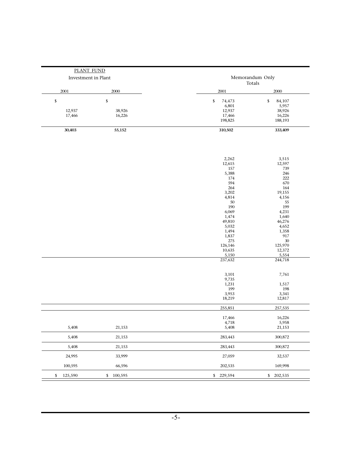|                        | PLANT FUND             |                                                                                                                                                                        |                                                                                                                                                                        |
|------------------------|------------------------|------------------------------------------------------------------------------------------------------------------------------------------------------------------------|------------------------------------------------------------------------------------------------------------------------------------------------------------------------|
| Investment in Plant    |                        |                                                                                                                                                                        | Memorandum Only<br>Totals                                                                                                                                              |
| 2001                   | 2000                   | 2001                                                                                                                                                                   | 2000                                                                                                                                                                   |
| \$<br>12,937<br>17,466 | \$<br>38,926<br>16,226 | \$<br>74,473<br>6,801<br>12,937<br>17,466<br>198,825                                                                                                                   | \$<br>84,107<br>5,957<br>38,926<br>16,226<br>188,193                                                                                                                   |
| 30,403                 | 55,152                 | 310,502                                                                                                                                                                | 333,409                                                                                                                                                                |
|                        |                        | 2,262<br>12,615<br>157<br>5,388<br>174<br>594<br>264<br>3,202<br>4,814<br>50<br>190<br>6,069<br>1,474<br>49,810<br>5,032<br>1,494<br>1,837<br>275<br>126,146<br>10,635 | 3,515<br>12,597<br>739<br>246<br>222<br>670<br>164<br>19,155<br>4,156<br>55<br>199<br>4,231<br>1,640<br>46,276<br>4,652<br>1,358<br>917<br>$30\,$<br>125,970<br>12,372 |
|                        |                        | 5,150<br>237,632                                                                                                                                                       | 5,554<br>244,718                                                                                                                                                       |
|                        |                        | 3,101<br>9,735<br>1,231<br>199<br>3,953<br>18,219                                                                                                                      | 7,761<br>1,517<br>198<br>3,341<br>12,817                                                                                                                               |
|                        |                        | 255,851                                                                                                                                                                | 257,535                                                                                                                                                                |
| 5,408                  | 21,153                 | 17,466<br>4,718<br>5,408                                                                                                                                               | 16,226<br>5,958<br>21,153                                                                                                                                              |
| 5,408                  | 21,153                 | 283,443                                                                                                                                                                | 300,872                                                                                                                                                                |
| 5,408                  | 21,153                 | 283,443                                                                                                                                                                | 300,872                                                                                                                                                                |
| 24,995                 | 33,999                 | 27,059                                                                                                                                                                 | 32,537                                                                                                                                                                 |
| 100,595                | 66,596                 | 202,535                                                                                                                                                                | 169,998                                                                                                                                                                |
| 125,590<br>\$          | \$100,595              | \$229,594                                                                                                                                                              | \$202,535                                                                                                                                                              |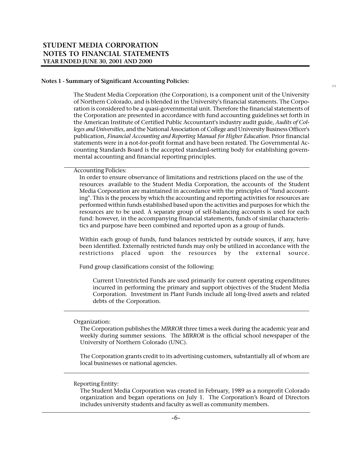#### **Notes 1 - Summary of Significant Accounting Policies:**

The Student Media Corporation (the Corporation), is a component unit of the University of Northern Colorado, and is blended in the University's financial statements. The Corporation is considered to be a quasi-governmental unit. Therefore the financial statements of the Corporation are presented in accordance with fund accounting guidelines set forth in the American Institute of Certified Public Accountant's industry audit guide, *Audits of Colleges and Universities*, and the National Association of College and University Business Officer's publication, *Financial Accounting and Reporting Manual for Higher Education*. Prior financial statements were in a not-for-profit format and have been restated. The Governmental Accounting Standards Board is the accepted standard-setting body for establishing governmental accounting and financial reporting principles.

 $\perp$ 

Accounting Policies:

In order to ensure observance of limitations and restrictions placed on the use of the resources available to the Student Media Corporation, the accounts of the Student Media Corporation are maintained in accordance with the principles of "fund accounting". This is the process by which the accounting and reporting activities for resources are performed within funds established based upon the activities and purposes for which the resources are to be used. A separate group of self-balancing accounts is used for each fund: however, in the accompanying financial statements, funds of similar characteristics and purpose have been combined and reported upon as a group of funds.

Within each group of funds, fund balances restricted by outside sources, if any, have been identified. Externally restricted funds may only be utilized in accordance with the restrictions placed upon the resources by the external source.

Fund group classifications consist of the following:

Current Unrestricted Funds are used primarily for current operating expenditures incurred in performing the primary and support objectives of the Student Media Corporation. Investment in Plant Funds include all long-lived assets and related debts of the Corporation.

#### Organization:

The Corporation publishes the *MIRROR* three times a week during the academic year and weekly during summer sessions. The *MIRROR* is the official school newspaper of the University of Northern Colorado (UNC).

The Corporation grants credit to its advertising customers, substantially all of whom are local businesses or national agencies.

#### Reporting Entity:

The Student Media Corporation was created in February, 1989 as a nonprofit Colorado organization and began operations on July 1. The Corporation's Board of Directors includes university students and faculty as well as community members.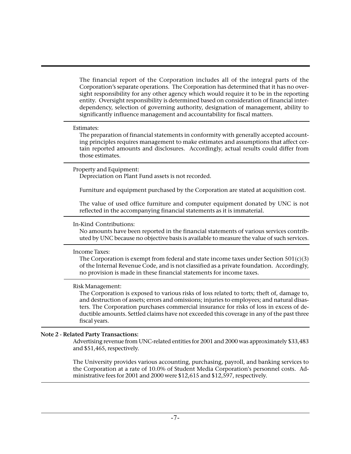The financial report of the Corporation includes all of the integral parts of the Corporation's separate operations. The Corporation has determined that it has no oversight responsibility for any other agency which would require it to be in the reporting entity. Oversight responsibility is determined based on consideration of financial interdependency, selection of governing authority, designation of management, ability to significantly influence management and accountability for fiscal matters.

#### Estimates:

The preparation of financial statements in conformity with generally accepted accounting principles requires management to make estimates and assumptions that affect certain reported amounts and disclosures. Accordingly, actual results could differ from those estimates.

#### Property and Equipment:

Depreciation on Plant Fund assets is not recorded.

Furniture and equipment purchased by the Corporation are stated at acquisition cost.

The value of used office furniture and computer equipment donated by UNC is not reflected in the accompanying financial statements as it is immaterial.

## In-Kind Contributions:

No amounts have been reported in the financial statements of various services contributed by UNC because no objective basis is available to measure the value of such services.

#### Income Taxes:

The Corporation is exempt from federal and state income taxes under Section  $501(c)(3)$ of the Internal Revenue Code, and is not classified as a private foundation. Accordingly, no provision is made in these financial statements for income taxes.

#### Risk Management:

The Corporation is exposed to various risks of loss related to torts; theft of, damage to, and destruction of assets; errors and omissions; injuries to employees; and natural disasters. The Corporation purchases commercial insurance for risks of loss in excess of deductible amounts. Settled claims have not exceeded this coverage in any of the past three fiscal years.

# **Note 2 - Related Party Transactions:**

Advertising revenue from UNC-related entities for 2001 and 2000 was approximately \$33,483 and \$51,465, respectively.

The University provides various accounting, purchasing, payroll, and banking services to the Corporation at a rate of 10.0% of Student Media Corporation's personnel costs. Administrative fees for 2001 and 2000 were \$12,615 and \$12,597, respectively.